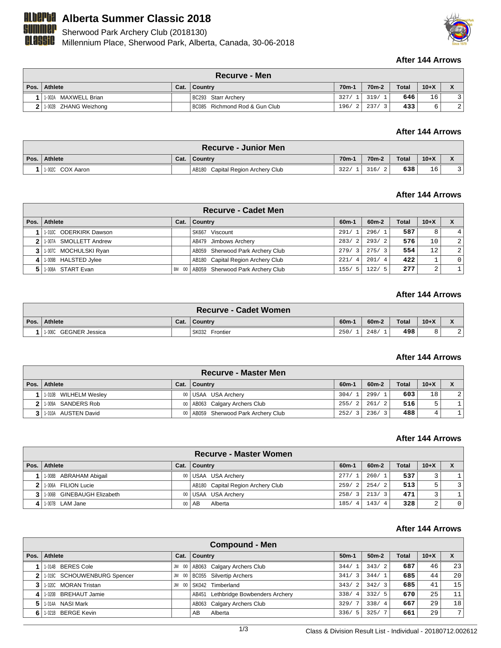

# **ALberta Summer Classic 2018**

**MMCP** Sherwood Park Archery Club (2018130)

**CLASSIC** Millennium Place, Sherwood Park, Alberta, Canada, 30-06-2018



# **After 144 Arrows**

|      | <b>Recurve - Men</b>  |      |                               |                |                    |              |        |   |  |  |
|------|-----------------------|------|-------------------------------|----------------|--------------------|--------------|--------|---|--|--|
| Pos. | Athlete               | Cat. | ∣ Countrv                     | $70m-1$        | 70 <sub>m</sub> -2 | <b>Total</b> | $10+X$ |   |  |  |
|      | 1-002A MAXWELL Brian  |      | BC293 Starr Archery           |                | 327/ 1  319/ 1     | 646          | 16     |   |  |  |
|      | 1-002B ZHANG Weizhong |      | BC085 Richmond Rod & Gun Club | $196/2$   237/ |                    | 433          |        | 2 |  |  |

#### **After 144 Arrows**

|      | ∖ Recurve - Junior Men |      |                                   |                    |                    |              |        |  |  |  |
|------|------------------------|------|-----------------------------------|--------------------|--------------------|--------------|--------|--|--|--|
| Pos. | Athlete                | Cat. | ∣ Countrv                         | 70 <sub>m</sub> -1 | 70 <sub>m</sub> -2 | <b>Total</b> | $10+X$ |  |  |  |
|      | 11-002C COX Aaron      |      | AB180 Capital Region Archery Club | 322/               | 316/               | 638          | 16     |  |  |  |

### **After 144 Arrows**

|   | <b>Recurve - Cadet Men</b> |              |                                   |               |         |       |        |                |  |  |
|---|----------------------------|--------------|-----------------------------------|---------------|---------|-------|--------|----------------|--|--|
|   | Pos.   Athlete             | Cat.         | <b>Country</b>                    | $60m-1$       | $60m-2$ | Total | $10+X$ | X              |  |  |
|   | 1.010C ODERKIRK Dawson     |              | SK667 Viscount                    | 291/1         | 296/1   | 587   | 8      |                |  |  |
|   | 2 1.007A SMOLLETT Andrew   |              | AB479 Jimbows Archery             | 283/2         | 293/2   | 576   | 10     | 2 <sup>1</sup> |  |  |
|   | 3 1.007C MOCHULSKI Ryan    |              | AB059 Sherwood Park Archery Club  | 279/3         | 275/3   | 554   | 12     | 2 <sup>1</sup> |  |  |
| 4 | 1.009B HALSTED Jylee       |              | AB180 Capital Region Archery Club | 221/4         | 201/4   | 422   |        | $\Omega$       |  |  |
|   | 5 1.008A START Evan        | BM<br>$00\,$ | AB059 Sherwood Park Archery Club  | 155/<br>$-5'$ | 122/5   | 277   | 2      |                |  |  |

### **After 144 Arrows**

| <b>Recurve - Cadet Women</b> |      |                |         |         |       |          |  |  |  |
|------------------------------|------|----------------|---------|---------|-------|----------|--|--|--|
| Pos. Athlete                 | Cat. | Country        | $60m -$ | $60m-2$ | Total | $10 + X$ |  |  |  |
| 11-006C GEGNER Jessica       |      | SK032 Frontier | 250/    | 248/    | 498   |          |  |  |  |

#### **After 144 Arrows**

| <b>Recurve - Master Men</b> |  |                                       |         |                        |              |        |   |  |  |
|-----------------------------|--|---------------------------------------|---------|------------------------|--------------|--------|---|--|--|
| Pos. Athlete                |  | Cat.   Country                        | $60m-1$ | 60 <sub>m</sub> -2     | <b>Total</b> | $10+X$ |   |  |  |
| 1-010B WILHELM Wesley       |  | 00 USAA USA Archery                   | 304/1   | 299/<br>$\overline{1}$ | 603          | 18     | 2 |  |  |
| 1-009A SANDERS Rob          |  | 00   AB063 Calgary Archers Club       | 255/2   | 261/2                  | 516          | ᄃ      |   |  |  |
| 1-010A AUSTEN David         |  | 00   AB059 Sherwood Park Archery Club | 252/3   | 236/<br>$\mathcal{R}$  | 488          | 4      |   |  |  |

# **After 144 Arrows**

|                              |                 | Recurve - Master Women            |           |                        |              |        |                |
|------------------------------|-----------------|-----------------------------------|-----------|------------------------|--------------|--------|----------------|
| Pos. Athlete                 | Cat.            | Country                           | $60m-1$   | 60 <sub>m</sub> -2     | <b>Total</b> | $10+X$ |                |
| 1-008B ABRAHAM Abigail       |                 | 00 USAA USA Archery               | 277/1     | 260/1                  | 537          |        |                |
| 2 1.006A FILION Lucie        |                 | AB180 Capital Region Archery Club | 259/2     | 254/2                  | 513          | 5      |                |
| 3 1:006B GINEBAUGH Elizabeth | 00 <sub>1</sub> | USAA USA Archery                  | 258/3     | 213/3                  | 471          |        |                |
| $4$   1-007B LAM Jane        | 00 <sub>1</sub> | Alberta<br>`AB                    | 185/<br>4 | 143/<br>$\overline{4}$ | 328          | 2      | 0 <sup>1</sup> |

#### **After 144 Arrows**

| Compound - Men                |            |                                     |                        |         |              |        |                |  |  |
|-------------------------------|------------|-------------------------------------|------------------------|---------|--------------|--------|----------------|--|--|
| Pos.   Athlete                | Cat.       | Country                             | $50m-1$                | $50m-2$ | <b>Total</b> | $10+X$ | X              |  |  |
| 11-014B BERES Cole            | - 00<br>JM | AB063 Calgary Archers Club          | 344/<br>$^{\prime}$ 1  | 343/2   | 687          | 46     | 23             |  |  |
| 2 1.0190 SCHOUWENBURG Spencer | - 00<br>JM | <b>BC055</b> Silvertip Archers      | 341/<br>$\overline{3}$ | 344/1   | 685          | 44     | 20             |  |  |
| 3 1 1 0200 MORAN Tristan      | - 00<br>JM | SK042 Timberland                    | 343/2                  | 342/3   | 685          | 41     | 15             |  |  |
| 1-020B BREHAUT Jamie          |            | AB451 Lethbridge Bowbenders Archery | 338/<br>-4             | 332/5   | 670          | 25     | 11             |  |  |
| 5 1 1 014A NASI Mark          |            | AB063 Calgary Archers Club          | 329/                   | 338/4   | 667          | 29     | 18             |  |  |
| 6 1.021B BERGE Kevin          |            | Alberta<br>AB                       | 336/<br>-5             | 325/    | 661          | 29     | $\overline{ }$ |  |  |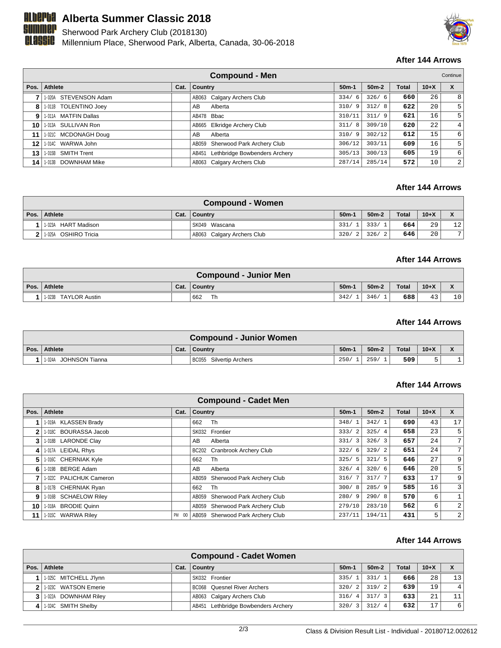

# **ALberta Summer Classic 2018**

**SUMMEP** Sherwood Park Archery Club (2018130)

**CLASSIC** Millennium Place, Sherwood Park, Alberta, Canada, 30-06-2018



# **After 144 Arrows**

|         | <b>Compound - Men</b><br>Continue |      |                                     |             |         |              |        |   |
|---------|-----------------------------------|------|-------------------------------------|-------------|---------|--------------|--------|---|
| Pos.    | <b>Athlete</b>                    | Cat. | <b>Country</b>                      | $50m-1$     | $50m-2$ | <b>Total</b> | $10+X$ | X |
|         | 1-020A STEVENSON Adam             |      | AB063 Calgary Archers Club          | 334/<br>- 6 | 326/6   | 660          | 26     | 8 |
|         | 8 1-011B TOLENTINO Joey           |      | Alberta<br>AB.                      | 310/<br>- 9 | 312/8   | 622          | 20     | 5 |
| 9       | 1-011A MATFIN Dallas              |      | AB478 Bbac                          | 310/11      | 311/9   | 621          | 16     | 5 |
| 10      | 1-013A SULLIVAN Ron               |      | AB665 Elkridge Archery Club         | 311/<br>-8  | 309/10  | 620          | 22     | 4 |
| 11      | 1-0210 MCDONAGH Doug              |      | AB<br>Alberta                       | 310/9       | 302/12  | 612          | 15     | 6 |
| $12 \,$ | 1-014C WARWA John                 |      | AB059 Sherwood Park Archery Club    | 306/12      | 303/11  | 609          | 16     | 5 |
| 13      | 1-015B SMITH Trent                |      | AB451 Lethbridge Bowbenders Archery | 305/13      | 300/13  | 605          | 19     | 6 |
|         | 14   1-013B DOWNHAM Mike          |      | AB063 Calgary Archers Club          | 287/14      | 285/14  | 572          | 10     | 2 |

#### **After 144 Arrows**

| Compound - Women     |      |                            |         |         |              |        |    |  |  |
|----------------------|------|----------------------------|---------|---------|--------------|--------|----|--|--|
| Pos.   Athlete       | Cat. | Country                    | $50m-1$ | $50m-2$ | <b>Total</b> | $10+X$ |    |  |  |
| 1-023A HART Madison  |      | SK049 Wascana              | 331/1   | 333/    | 664          | 29     | 12 |  |  |
| 1.025A OSHIRO Tricia |      | AB063 Calgary Archers Club | 320/2   | 326/    | 646          | 20     | 7  |  |  |

#### **After 144 Arrows**

|      | <b>Compound - Junior Men</b> |      |                |         |         |              |        |                                                        |  |  |
|------|------------------------------|------|----------------|---------|---------|--------------|--------|--------------------------------------------------------|--|--|
| Pos. | Athlete                      | Cat. | <b>Country</b> | $50m-1$ | $50m-2$ | <b>Total</b> | $10+X$ | $\overline{\phantom{a}}$<br>$\boldsymbol{\mathcal{L}}$ |  |  |
|      | 1-023B TAYLOR Austin         |      | Th<br>662      | 342/    | 346/    | 688          | 43     | 10                                                     |  |  |

#### **After 144 Arrows**

|      | <b>Compound - Junior Women</b> |      |                         |         |         |              |        |                            |  |  |
|------|--------------------------------|------|-------------------------|---------|---------|--------------|--------|----------------------------|--|--|
| Pos. | Athlete                        | Cat. | <b>Country</b>          | $50m-1$ | $50m-2$ | <b>Total</b> | $10+X$ | $\boldsymbol{\mathcal{L}}$ |  |  |
|      | JOHNSON Tianna<br>1-024A       |      | BC055 Silvertip Archers | 250/    | 259/    | 509          |        |                            |  |  |

#### **After 144 Arrows**

|      | <b>Compound - Cadet Men</b> |       |                                  |                        |         |              |        |                |  |  |
|------|-----------------------------|-------|----------------------------------|------------------------|---------|--------------|--------|----------------|--|--|
| Pos. | <b>Athlete</b>              | Cat.  | Country                          | $50m-1$                | $50m-2$ | <b>Total</b> | $10+X$ | X              |  |  |
|      | 1-019A KLASSEN Brady        |       | Th<br>662                        | 348/1                  | 342/1   | 690          | 43     | 17             |  |  |
| 2    | 1-018C BOURASSA Jacob       |       | SK032 Frontier                   | 333/2                  | 325/4   | 658          | 23     | 5              |  |  |
| 3    | 1-018B LARONDE Clay         |       | AB<br>Alberta                    | 331/3                  | 326/3   | 657          | 24     | 7 <sub>1</sub> |  |  |
| 4    | 1-017A LEIDAL Rhys          |       | BC202 Cranbrook Archery Club     | 322/6                  | 329/2   | 651          | 24     | 7 <sub>1</sub> |  |  |
| 5.   | 1-016C CHERNIAK Kyle        |       | 662<br>Th                        | 325/5                  | 321/5   | 646          | 27     | 9              |  |  |
| 6    | 1-019B BERGE Adam           |       | AB<br>Alberta                    | 326/<br>$\overline{4}$ | 320/6   | 646          | 20     | 5              |  |  |
|      | 1-022C PALICHUK Cameron     |       | AB059 Sherwood Park Archery Club | 316/7                  | 317/7   | 633          | 17     | 9              |  |  |
| 8    | 1-017B CHERNIAK Ryan        |       | Th<br>662                        | 300/8                  | 285/9   | 585          | 16     | 3              |  |  |
| 9    | 1-016B SCHAELOW Riley       |       | AB059 Sherwood Park Archery Club | 280/9                  | 290/8   | 570          | 6      |                |  |  |
| 10   | 1-018A BRODIE Quinn         |       | AB059 Sherwood Park Archery Club | 279/10                 | 283/10  | 562          | 6      | 2              |  |  |
| 11   | 1-015C WARWA Riley          | PM 00 | AB059 Sherwood Park Archery Club | 237/11                 | 194/11  | 431          | 5      | 2              |  |  |

# **After 144 Arrows**

| <b>Compound - Cadet Women</b> |                          |      |                                     |         |         |              |        |                |  |  |  |  |
|-------------------------------|--------------------------|------|-------------------------------------|---------|---------|--------------|--------|----------------|--|--|--|--|
|                               | Pos.   Athlete           | Cat. | <b>Country</b>                      | $50m-1$ | $50m-2$ | <b>Total</b> | $10+X$ |                |  |  |  |  |
|                               | 1-025C MITCHELL J'Iynn   |      | SK032 Frontier                      | 335/1   | 331/1   | 666          | 28     | 13             |  |  |  |  |
|                               | 2 1.0230 WATSON Emerie   |      | BC068 Quesnel River Archers         | 320/2   | 319/2   | 639          | 19     | 4 <sup>1</sup> |  |  |  |  |
|                               | 3   1-022A DOWNHAM Riley |      | AB063 Calgary Archers Club          | 316/4   | 317/3   | 633          | 21     | 11             |  |  |  |  |
|                               | 1.024C SMITH Shelby      |      | AB451 Lethbridge Bowbenders Archery | 320/3   | 312/4   | 632          | 17     | 6 <sup>1</sup> |  |  |  |  |